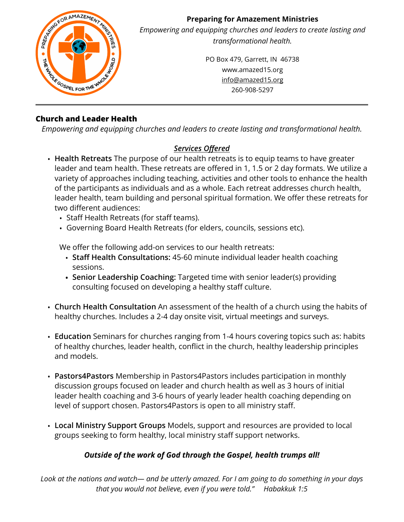

# **Church and Leader Health**

*Empowering and equipping churches and leaders to create lasting and transformational health.*

# *Services Offered*

- **Health Retreats** The purpose of our health retreats is to equip teams to have greater leader and team health. These retreats are offered in 1, 1.5 or 2 day formats. We utilize a variety of approaches including teaching, activities and other tools to enhance the health of the participants as individuals and as a whole. Each retreat addresses church health, leader health, team building and personal spiritual formation. We offer these retreats for two different audiences:
	- Staff Health Retreats (for staff teams).
	- Governing Board Health Retreats (for elders, councils, sessions etc).

We offer the following add-on services to our health retreats:

- **Staff Health Consultations:** 45-60 minute individual leader health coaching sessions.
- **• Senior Leadership Coaching:** Targeted time with senior leader(s) providing consulting focused on developing a healthy staff culture.
- **Church Health Consultation** An assessment of the health of a church using the habits of healthy churches. Includes a 2-4 day onsite visit, virtual meetings and surveys.
- **Education** Seminars for churches ranging from 1-4 hours covering topics such as: habits of healthy churches, leader health, conflict in the church, healthy leadership principles and models.
- **Pastors4Pastors** Membership in Pastors4Pastors includes participation in monthly discussion groups focused on leader and church health as well as 3 hours of initial leader health coaching and 3-6 hours of yearly leader health coaching depending on level of support chosen. Pastors4Pastors is open to all ministry staff.
- **Local Ministry Support Groups** Models, support and resources are provided to local groups seeking to form healthy, local ministry staff support networks.

### *Outside of the work of God through the Gospel, health trumps all!*

*Look at the nations and watch— and be utterly amazed. For I am going to do something in your days that you would not believe, even if you were told." Habakkuk 1:5*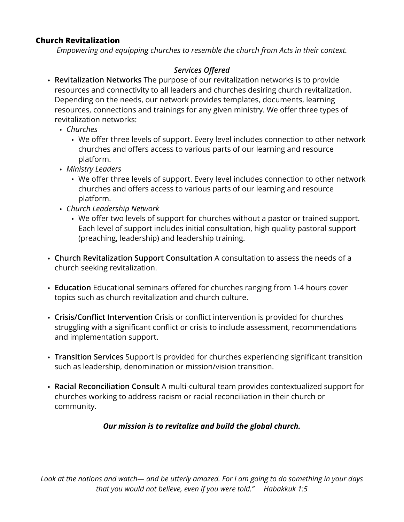#### **Church Revitalization**

*Empowering and equipping churches to resemble the church from Acts in their context.*

# *Services Offered*

- **Revitalization Networks** The purpose of our revitalization networks is to provide resources and connectivity to all leaders and churches desiring church revitalization. Depending on the needs, our network provides templates, documents, learning resources, connections and trainings for any given ministry. We offer three types of revitalization networks:
	- *Churches*
		- We offer three levels of support. Every level includes connection to other network churches and offers access to various parts of our learning and resource platform.
	- *Ministry Leaders*
		- We offer three levels of support. Every level includes connection to other network churches and offers access to various parts of our learning and resource platform.
	- *Church Leadership Network*
		- We offer two levels of support for churches without a pastor or trained support. Each level of support includes initial consultation, high quality pastoral support (preaching, leadership) and leadership training.
- **Church Revitalization Support Consultation** A consultation to assess the needs of a church seeking revitalization.
- **Education** Educational seminars offered for churches ranging from 1-4 hours cover topics such as church revitalization and church culture.
- **Crisis/Conflict Intervention** Crisis or conflict intervention is provided for churches struggling with a significant conflict or crisis to include assessment, recommendations and implementation support.
- **Transition Services** Support is provided for churches experiencing significant transition such as leadership, denomination or mission/vision transition.
- **Racial Reconciliation Consult** A multi-cultural team provides contextualized support for churches working to address racism or racial reconciliation in their church or community.

### *Our mission is to revitalize and build the global church.*

*Look at the nations and watch— and be utterly amazed. For I am going to do something in your days that you would not believe, even if you were told." Habakkuk 1:5*